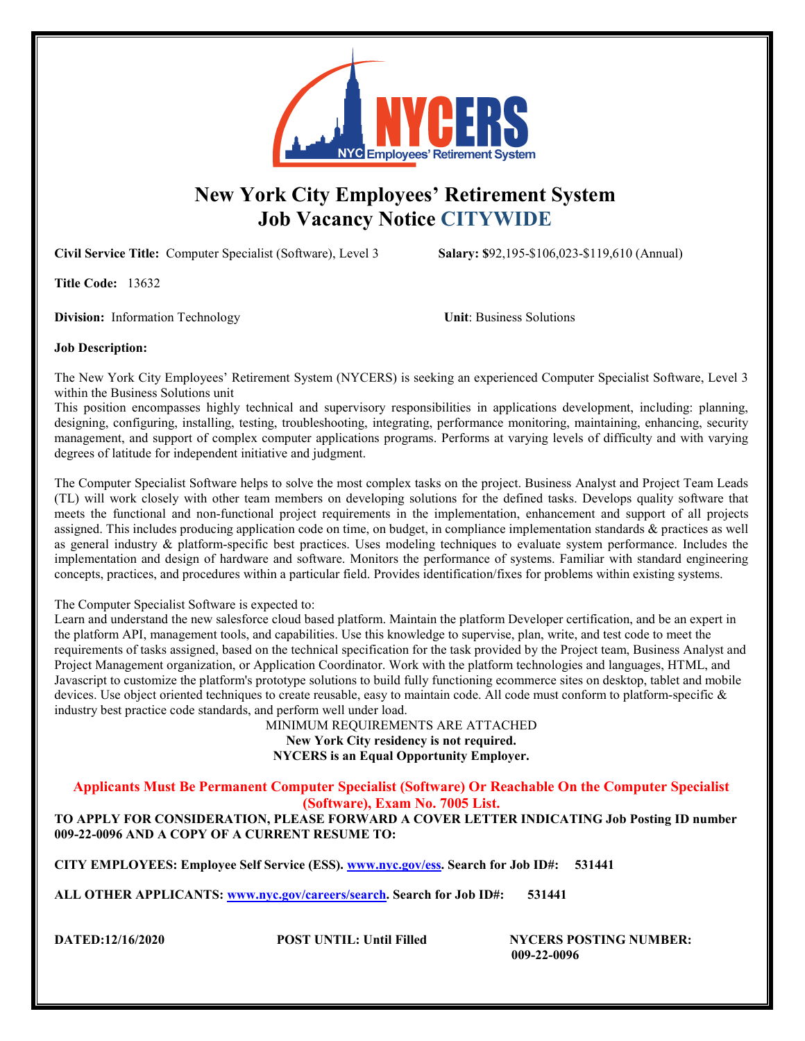

# **New York City Employees' Retirement System Job Vacancy Notice CITYWIDE**

**Civil Service Title:** Computer Specialist (Software), Level 3 **Salary: \$**92,195-\$106,023-\$119,610 (Annual)

**Title Code:** 13632

**Division:** Information Technology **Unit**: Business Solutions

# **Job Description:**

The New York City Employees' Retirement System (NYCERS) is seeking an experienced Computer Specialist Software, Level 3 within the Business Solutions unit

This position encompasses highly technical and supervisory responsibilities in applications development, including: planning, designing, configuring, installing, testing, troubleshooting, integrating, performance monitoring, maintaining, enhancing, security management, and support of complex computer applications programs. Performs at varying levels of difficulty and with varying degrees of latitude for independent initiative and judgment.

The Computer Specialist Software helps to solve the most complex tasks on the project. Business Analyst and Project Team Leads (TL) will work closely with other team members on developing solutions for the defined tasks. Develops quality software that meets the functional and non-functional project requirements in the implementation, enhancement and support of all projects assigned. This includes producing application code on time, on budget, in compliance implementation standards & practices as well as general industry & platform-specific best practices. Uses modeling techniques to evaluate system performance. Includes the implementation and design of hardware and software. Monitors the performance of systems. Familiar with standard engineering concepts, practices, and procedures within a particular field. Provides identification/fixes for problems within existing systems.

# The Computer Specialist Software is expected to:

Learn and understand the new salesforce cloud based platform. Maintain the platform Developer certification, and be an expert in the platform API, management tools, and capabilities. Use this knowledge to supervise, plan, write, and test code to meet the requirements of tasks assigned, based on the technical specification for the task provided by the Project team, Business Analyst and Project Management organization, or Application Coordinator. Work with the platform technologies and languages, HTML, and Javascript to customize the platform's prototype solutions to build fully functioning ecommerce sites on desktop, tablet and mobile devices. Use object oriented techniques to create reusable, easy to maintain code. All code must conform to platform-specific & industry best practice code standards, and perform well under load.

MINIMUM REQUIREMENTS ARE ATTACHED **New York City residency is not required. NYCERS is an Equal Opportunity Employer.** 

**Applicants Must Be Permanent Computer Specialist (Software) Or Reachable On the Computer Specialist (Software), Exam No. 7005 List.**

**TO APPLY FOR CONSIDERATION, PLEASE FORWARD A COVER LETTER INDICATING Job Posting ID number 009-22-0096 AND A COPY OF A CURRENT RESUME TO:**

**CITY EMPLOYEES: Employee Self Service (ESS). [www.nyc.gov/ess.](http://www.nyc.gov/ess) Search for Job ID#: 531441**

**ALL OTHER APPLICANTS: [www.nyc.gov/careers/search.](http://www.nyc.gov/careers/search) Search for Job ID#: 531441**

**DATED:12/16/2020 POST UNTIL: Until Filled NYCERS POSTING NUMBER: 009-22-0096**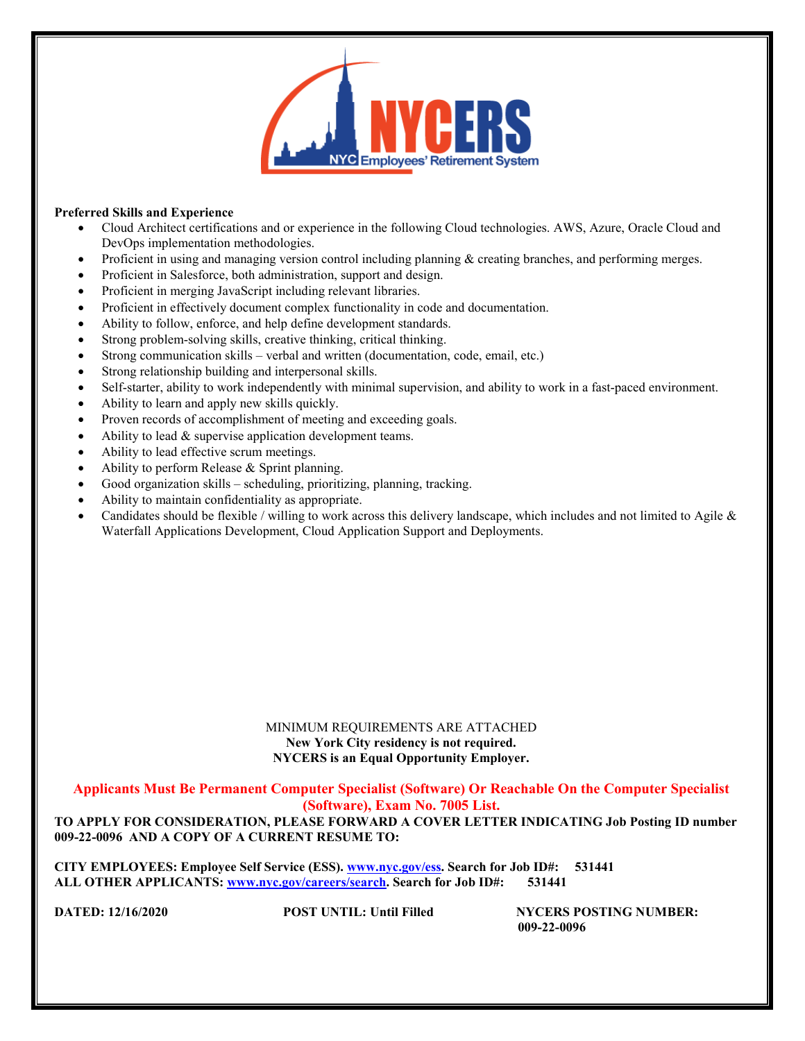

## **Preferred Skills and Experience**

- Cloud Architect certifications and or experience in the following Cloud technologies. AWS, Azure, Oracle Cloud and DevOps implementation methodologies.
- Proficient in using and managing version control including planning & creating branches, and performing merges.
- Proficient in Salesforce, both administration, support and design.
- Proficient in merging JavaScript including relevant libraries.
- Proficient in effectively document complex functionality in code and documentation.
- Ability to follow, enforce, and help define development standards.
- Strong problem-solving skills, creative thinking, critical thinking.
- Strong communication skills verbal and written (documentation, code, email, etc.)
- Strong relationship building and interpersonal skills.
- Self-starter, ability to work independently with minimal supervision, and ability to work in a fast-paced environment.
- Ability to learn and apply new skills quickly.
- Proven records of accomplishment of meeting and exceeding goals.
- Ability to lead  $&$  supervise application development teams.
- Ability to lead effective scrum meetings.
- Ability to perform Release & Sprint planning.
- Good organization skills scheduling, prioritizing, planning, tracking.
- Ability to maintain confidentiality as appropriate.
- Candidates should be flexible / willing to work across this delivery landscape, which includes and not limited to Agile  $\&$ Waterfall Applications Development, Cloud Application Support and Deployments.

### MINIMUM REQUIREMENTS ARE ATTACHED **New York City residency is not required. NYCERS is an Equal Opportunity Employer.**

**Applicants Must Be Permanent Computer Specialist (Software) Or Reachable On the Computer Specialist (Software), Exam No. 7005 List.**

**TO APPLY FOR CONSIDERATION, PLEASE FORWARD A COVER LETTER INDICATING Job Posting ID number 009-22-0096 AND A COPY OF A CURRENT RESUME TO:**

**CITY EMPLOYEES: Employee Self Service (ESS). [www.nyc.gov/ess.](http://www.nyc.gov/ess) Search for Job ID#: 531441 ALL OTHER APPLICANTS: [www.nyc.gov/careers/search.](http://www.nyc.gov/careers/search) Search for Job ID#: 531441**

**DATED: 12/16/2020 POST UNTIL:** Until Filled **NYCERS POSTING NUMBER: 009-22-0096**